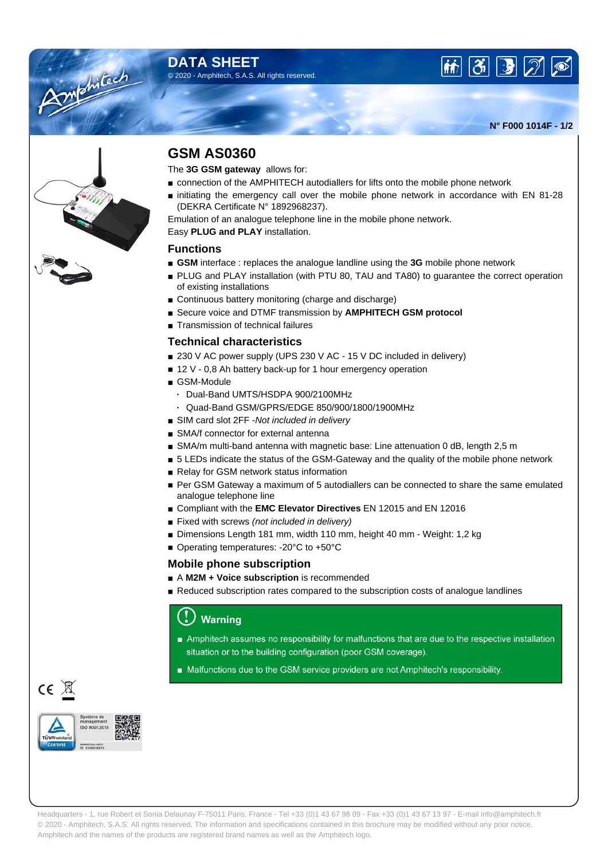### **DATA SHEET** © 2020 - Amphitech, S.A.S. All rights reserved.





**N° F000 1014F - 1/2**



# **GSM AS0360**

The **3G GSM gateway** allows for:

- connection of the AMPHITECH autodiallers for lifts onto the mobile phone network
- initiating the emergency call over the mobile phone network in accordance with EN 81-28 (DEKRA Certificate N° 1892968237).

Emulation of an analogue telephone line in the mobile phone network.

Easy **PLUG and PLAY** installation.

#### **Functions**

- **GSM** interface : replaces the analogue landline using the **3G** mobile phone network
- PLUG and PLAY installation (with PTU 80, TAU and TA80) to quarantee the correct operation of existing installations
- Continuous battery monitoring (charge and discharge)
- Secure voice and DTMF transmission by **AMPHITECH GSM protocol**
- Transmission of technical failures

#### **Technical characteristics**

- 230 V AC power supply (UPS 230 V AC 15 V DC included in delivery)
- 12 V 0,8 Ah battery back-up for 1 hour emergency operation
- GSM-Module
	- Dual-Band UMTS/HSDPA 900/2100MHz
	- Quad-Band GSM/GPRS/EDGE 850/900/1800/1900MHz
- SIM card slot 2FF -Not included in delivery
- SMA/f connector for external antenna
- SMA/m multi-band antenna with magnetic base: Line attenuation 0 dB, length 2,5 m
- 5 LEDs indicate the status of the GSM-Gateway and the quality of the mobile phone network
- Relay for GSM network status information
- Per GSM Gateway a maximum of 5 autodiallers can be connected to share the same emulated analogue telephone line
- Compliant with the **EMC Elevator Directives** EN 12015 and EN 12016
- Fixed with screws (not included in delivery)
- Dimensions Length 181 mm, width 110 mm, height 40 mm Weight: 1,2 kg
- Operating temperatures: -20°C to +50°C

#### **Mobile phone subscription**

- A **M2M + Voice subscription** is recommended
- Reduced subscription rates compared to the subscription costs of analogue landlines

## **Warning**

- Amphitech assumes no responsibility for malfunctions that are due to the respective installation situation or to the building configuration (poor GSM coverage).
- Malfunctions due to the GSM service providers are not Amphitech's responsibility.

 $CE \times$